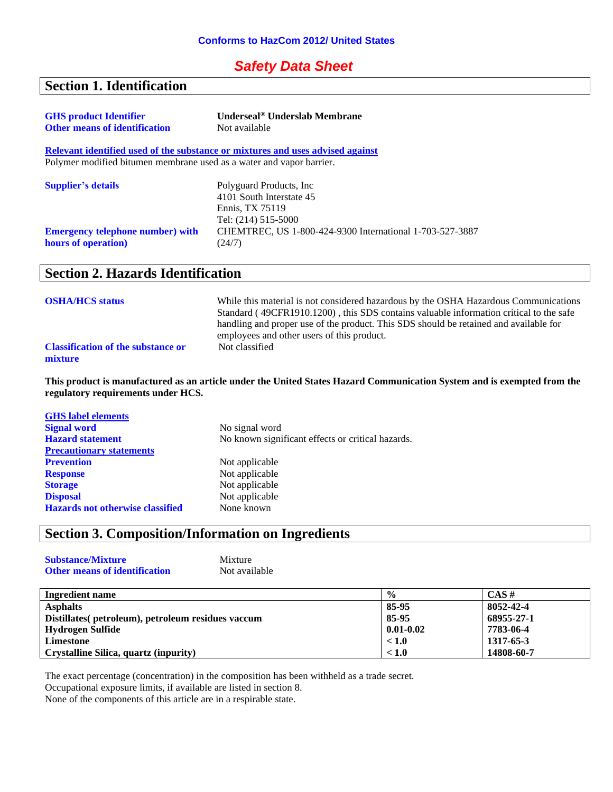#### *Safety Data Sheet*

## **Section 1. Identification**

| <b>GHS</b> product Identifier                                        | Underseal <sup>®</sup> Underslab Membrane                                                      |
|----------------------------------------------------------------------|------------------------------------------------------------------------------------------------|
| <b>Other means of identification</b>                                 | Not available                                                                                  |
|                                                                      | Relevant identified used of the substance or mixtures and uses advised against                 |
| Polymer modified bitumen membrane used as a water and vapor barrier. |                                                                                                |
| <b>Supplier's details</b>                                            | Polyguard Products, Inc.<br>4101 South Interstate 45<br>Ennis, TX 75119<br>Tel: (214) 515-5000 |
| <b>Emergency telephone number) with</b><br>hours of operation)       | CHEMTREC, US 1-800-424-9300 International 1-703-527-3887<br>(24/7)                             |

### **Section 2. Hazards Identification**

| <b>OSHA/HCS status</b>                               | While this material is not considered hazardous by the OSHA Hazardous Communications<br>Standard (49CFR1910.1200), this SDS contains valuable information critical to the safe<br>handling and proper use of the product. This SDS should be retained and available for<br>employees and other users of this product. |
|------------------------------------------------------|-----------------------------------------------------------------------------------------------------------------------------------------------------------------------------------------------------------------------------------------------------------------------------------------------------------------------|
| <b>Classification of the substance or</b><br>mixture | Not classified                                                                                                                                                                                                                                                                                                        |

**This product is manufactured as an article under the United States Hazard Communication System and is exempted from the regulatory requirements under HCS.**

| <b>GHS</b> label elements               |                                                   |
|-----------------------------------------|---------------------------------------------------|
| <b>Signal word</b>                      | No signal word                                    |
| <b>Hazard statement</b>                 | No known significant effects or critical hazards. |
| <b>Precautionary statements</b>         |                                                   |
| <b>Prevention</b>                       | Not applicable                                    |
| <b>Response</b>                         | Not applicable                                    |
| <b>Storage</b>                          | Not applicable                                    |
| <b>Disposal</b>                         | Not applicable                                    |
| <b>Hazards not otherwise classified</b> | None known                                        |
|                                         |                                                   |

## **Section 3. Composition/Information on Ingredients**

| <b>Substance/Mixture</b>             | Mixture       |
|--------------------------------------|---------------|
| <b>Other means of identification</b> | Not available |

| Ingredient name                                    | $\frac{0}{0}$ | $CAS \#$   |
|----------------------------------------------------|---------------|------------|
| <b>Asphalts</b>                                    | 85-95         | 8052-42-4  |
| Distillates (petroleum), petroleum residues vaccum | 85-95         | 68955-27-1 |
| Hydrogen Sulfide                                   | $0.01 - 0.02$ | 7783-06-4  |
| Limestone                                          | < 1.0         | 1317-65-3  |
| Crystalline Silica, quartz (inpurity)              | < 1.0         | 14808-60-7 |

The exact percentage (concentration) in the composition has been withheld as a trade secret.

Occupational exposure limits, if available are listed in section 8.

None of the components of this article are in a respirable state.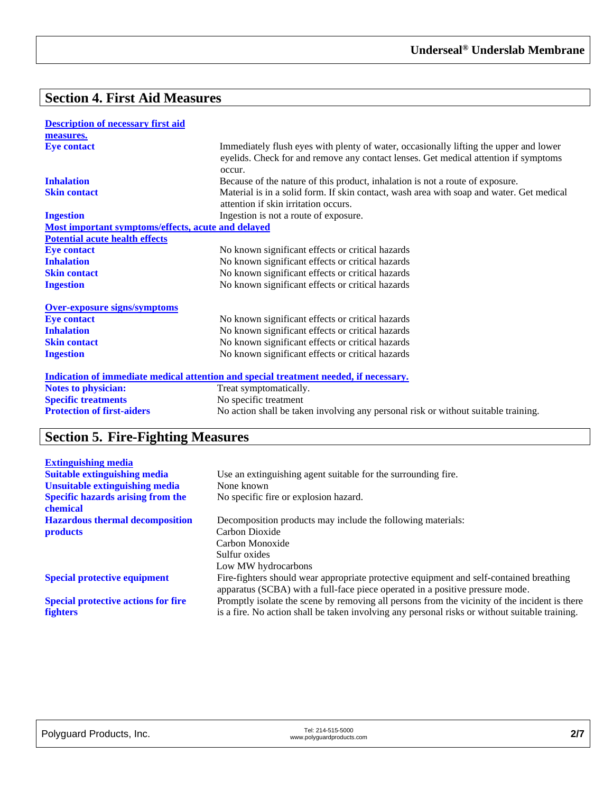# **Section 4. First Aid Measures**

| <b>Description of necessary first aid</b>          |                                                                                                                                                                                        |
|----------------------------------------------------|----------------------------------------------------------------------------------------------------------------------------------------------------------------------------------------|
| measures.                                          |                                                                                                                                                                                        |
| <b>Eye contact</b>                                 | Immediately flush eyes with plenty of water, occasionally lifting the upper and lower<br>eyelids. Check for and remove any contact lenses. Get medical attention if symptoms<br>occur. |
| <b>Inhalation</b>                                  | Because of the nature of this product, inhalation is not a route of exposure.                                                                                                          |
| <b>Skin contact</b>                                | Material is in a solid form. If skin contact, wash area with soap and water. Get medical                                                                                               |
|                                                    | attention if skin irritation occurs.                                                                                                                                                   |
| <b>Ingestion</b>                                   | Ingestion is not a route of exposure.                                                                                                                                                  |
| Most important symptoms/effects, acute and delayed |                                                                                                                                                                                        |
| <b>Potential acute health effects</b>              |                                                                                                                                                                                        |
| <b>Eye contact</b>                                 | No known significant effects or critical hazards                                                                                                                                       |
| <b>Inhalation</b>                                  | No known significant effects or critical hazards                                                                                                                                       |
| <b>Skin contact</b>                                | No known significant effects or critical hazards                                                                                                                                       |
| <b>Ingestion</b>                                   | No known significant effects or critical hazards                                                                                                                                       |
| <b>Over-exposure signs/symptoms</b>                |                                                                                                                                                                                        |
| <b>Eye contact</b>                                 | No known significant effects or critical hazards                                                                                                                                       |
| <b>Inhalation</b>                                  | No known significant effects or critical hazards                                                                                                                                       |
| <b>Skin contact</b>                                | No known significant effects or critical hazards                                                                                                                                       |
| <b>Ingestion</b>                                   | No known significant effects or critical hazards                                                                                                                                       |
|                                                    | Indication of immediate medical attention and special treatment needed, if necessary.                                                                                                  |
| <b>Notes to physician:</b>                         | Treat symptomatically.                                                                                                                                                                 |
| <b>Specific treatments</b>                         | No specific treatment                                                                                                                                                                  |
| <b>Protection of first-aiders</b>                  | No action shall be taken involving any personal risk or without suitable training.                                                                                                     |

# **Section 5. Fire-Fighting Measures**

| <b>Extinguishing media</b>                           |                                                                                                                                                                          |
|------------------------------------------------------|--------------------------------------------------------------------------------------------------------------------------------------------------------------------------|
| <b>Suitable extinguishing media</b>                  | Use an extinguishing agent suitable for the surrounding fire.                                                                                                            |
| <b>Unsuitable extinguishing media</b>                | None known                                                                                                                                                               |
| <b>Specific hazards arising from the</b><br>chemical | No specific fire or explosion hazard.                                                                                                                                    |
| <b>Hazardous thermal decomposition</b>               | Decomposition products may include the following materials:                                                                                                              |
| <b>products</b>                                      | Carbon Dioxide                                                                                                                                                           |
|                                                      | Carbon Monoxide                                                                                                                                                          |
|                                                      | Sulfur oxides                                                                                                                                                            |
|                                                      | Low MW hydrocarbons                                                                                                                                                      |
| <b>Special protective equipment</b>                  | Fire-fighters should wear appropriate protective equipment and self-contained breathing<br>apparatus (SCBA) with a full-face piece operated in a positive pressure mode. |
| <b>Special protective actions for fire</b>           | Promptly isolate the scene by removing all persons from the vicinity of the incident is there                                                                            |
| <b>fighters</b>                                      | is a fire. No action shall be taken involving any personal risks or without suitable training.                                                                           |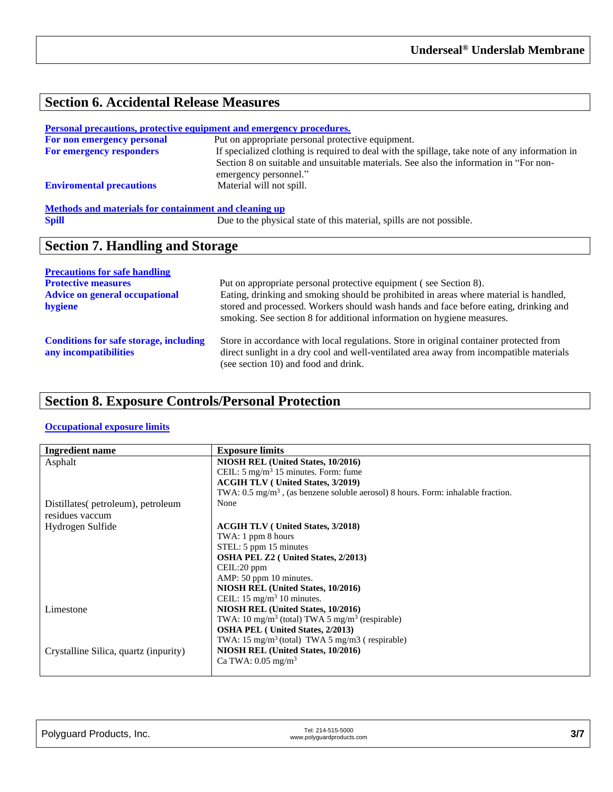# **Section 6. Accidental Release Measures**

| <u>Personal precautions, protective equipment and emergency procedures.</u> |                                                                                                                                                                                                                  |  |
|-----------------------------------------------------------------------------|------------------------------------------------------------------------------------------------------------------------------------------------------------------------------------------------------------------|--|
| For non emergency personal                                                  | Put on appropriate personal protective equipment.                                                                                                                                                                |  |
| For emergency responders                                                    | If specialized clothing is required to deal with the spillage, take note of any information in<br>Section 8 on suitable and unsuitable materials. See also the information in "For non-<br>emergency personnel." |  |
| <b>Enviromental precautions</b>                                             | Material will not spill.                                                                                                                                                                                         |  |
| Methods and materials for containment and cleaning up                       |                                                                                                                                                                                                                  |  |
| <b>Spill</b>                                                                | Due to the physical state of this material, spills are not possible.                                                                                                                                             |  |

## **Section 7. Handling and Storage**

| <b>Precautions for safe handling</b>                                   |                                                                                                                                                                                                                                                         |
|------------------------------------------------------------------------|---------------------------------------------------------------------------------------------------------------------------------------------------------------------------------------------------------------------------------------------------------|
| <b>Protective measures</b>                                             | Put on appropriate personal protective equipment (see Section 8).                                                                                                                                                                                       |
| <b>Advice on general occupational</b><br>hygiene                       | Eating, drinking and smoking should be prohibited in areas where material is handled,<br>stored and processed. Workers should wash hands and face before eating, drinking and<br>smoking. See section 8 for additional information on hygiene measures. |
| <b>Conditions for safe storage, including</b><br>any incompatibilities | Store in accordance with local regulations. Store in original container protected from<br>direct sunlight in a dry cool and well-ventilated area away from incompatible materials<br>(see section 10) and food and drink.                               |

# **Section 8. Exposure Controls/Personal Protection**

#### **Occupational exposure limits**

| <b>Ingredient name</b>                | <b>Exposure limits</b>                                                                      |
|---------------------------------------|---------------------------------------------------------------------------------------------|
| Asphalt                               | NIOSH REL (United States, 10/2016)                                                          |
|                                       | CEIL: $5 \text{ mg/m}^3$ 15 minutes. Form: fume                                             |
|                                       | <b>ACGIH TLV</b> (United States, 3/2019)                                                    |
|                                       | TWA: $0.5 \text{ mg/m}^3$ , (as benzene soluble aerosol) 8 hours. Form: inhalable fraction. |
| Distillates (petroleum), petroleum    | None                                                                                        |
| residues vaccum                       |                                                                                             |
| Hydrogen Sulfide                      | <b>ACGIH TLV</b> (United States, 3/2018)                                                    |
|                                       | TWA: 1 ppm 8 hours                                                                          |
|                                       | STEL: 5 ppm 15 minutes                                                                      |
|                                       | OSHA PEL Z2 (United States, 2/2013)                                                         |
|                                       | CEIL:20 ppm                                                                                 |
|                                       | AMP: 50 ppm 10 minutes.                                                                     |
|                                       | NIOSH REL (United States, 10/2016)                                                          |
|                                       | CEIL: $15 \text{ mg/m}^3$ 10 minutes.                                                       |
| Limestone                             | NIOSH REL (United States, 10/2016)                                                          |
|                                       | TWA: 10 mg/m <sup>3</sup> (total) TWA 5 mg/m <sup>3</sup> (respirable)                      |
|                                       | <b>OSHA PEL</b> (United States, 2/2013)                                                     |
|                                       | TWA: $15 \text{ mg/m}^3$ (total) TWA 5 mg/m3 (respirable)                                   |
| Crystalline Silica, quartz (inpurity) | NIOSH REL (United States, 10/2016)                                                          |
|                                       | Ca TWA: $0.05 \text{ mg/m}^3$                                                               |
|                                       |                                                                                             |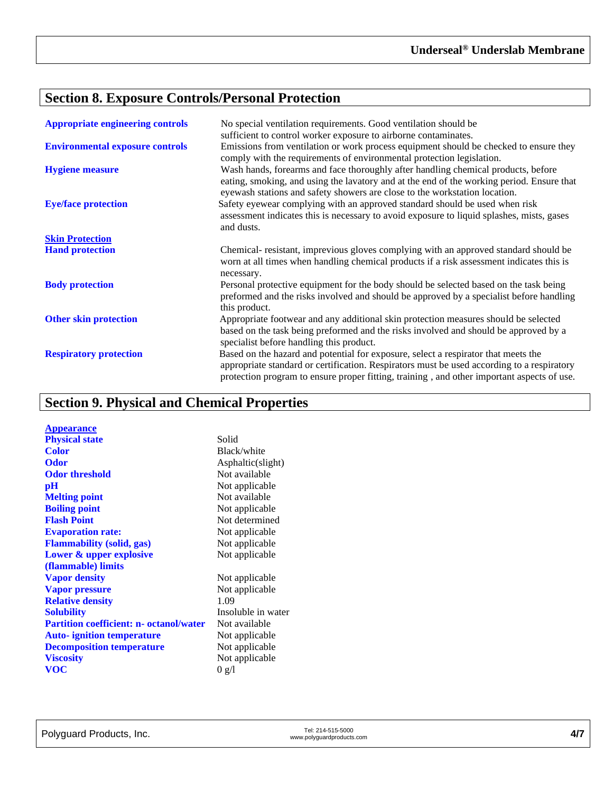# **Section 8. Exposure Controls/Personal Protection**

| <b>Appropriate engineering controls</b> | No special ventilation requirements. Good ventilation should be<br>sufficient to control worker exposure to airborne contaminates.                                                                                                                                             |
|-----------------------------------------|--------------------------------------------------------------------------------------------------------------------------------------------------------------------------------------------------------------------------------------------------------------------------------|
| <b>Environmental exposure controls</b>  | Emissions from ventilation or work process equipment should be checked to ensure they<br>comply with the requirements of environmental protection legislation.                                                                                                                 |
| <b>Hygiene measure</b>                  | Wash hands, forearms and face thoroughly after handling chemical products, before<br>eating, smoking, and using the lavatory and at the end of the working period. Ensure that<br>eyewash stations and safety showers are close to the workstation location.                   |
| <b>Eye/face protection</b>              | Safety eyewear complying with an approved standard should be used when risk<br>assessment indicates this is necessary to avoid exposure to liquid splashes, mists, gases<br>and dusts.                                                                                         |
| <b>Skin Protection</b>                  |                                                                                                                                                                                                                                                                                |
| <b>Hand protection</b>                  | Chemical-resistant, imprevious gloves complying with an approved standard should be<br>worn at all times when handling chemical products if a risk assessment indicates this is                                                                                                |
|                                         | necessary.                                                                                                                                                                                                                                                                     |
| <b>Body protection</b>                  | Personal protective equipment for the body should be selected based on the task being<br>preformed and the risks involved and should be approved by a specialist before handling<br>this product.                                                                              |
| <b>Other skin protection</b>            | Appropriate footwear and any additional skin protection measures should be selected<br>based on the task being preformed and the risks involved and should be approved by a<br>specialist before handling this product.                                                        |
| <b>Respiratory protection</b>           | Based on the hazard and potential for exposure, select a respirator that meets the<br>appropriate standard or certification. Respirators must be used according to a respiratory<br>protection program to ensure proper fitting, training, and other important aspects of use. |

# **Section 9. Physical and Chemical Properties**

| <b>Appearance</b><br><b>Physical state</b>     | Solid              |
|------------------------------------------------|--------------------|
| Color                                          | Black/white        |
| <b>Odor</b>                                    | Asphaltic(slight)  |
| <b>Odor threshold</b>                          | Not available      |
| $\mathbf{p}$ H                                 | Not applicable     |
| <b>Melting point</b>                           | Not available      |
| <b>Boiling point</b>                           | Not applicable     |
| <b>Flash Point</b>                             | Not determined     |
| <b>Evaporation rate:</b>                       | Not applicable     |
| <b>Flammability (solid, gas)</b>               | Not applicable     |
| Lower & upper explosive                        | Not applicable     |
| (flammable) limits                             |                    |
| <b>Vapor density</b>                           | Not applicable     |
| <b>Vapor pressure</b>                          | Not applicable     |
| <b>Relative density</b>                        | 1.09               |
| <b>Solubility</b>                              | Insoluble in water |
| <b>Partition coefficient: n- octanol/water</b> | Not available      |
| <b>Auto-</b> ignition temperature              | Not applicable     |
| <b>Decomposition temperature</b>               | Not applicable     |
| <b>Viscosity</b>                               | Not applicable     |
| <b>VOC</b>                                     | 0 g/l              |
|                                                |                    |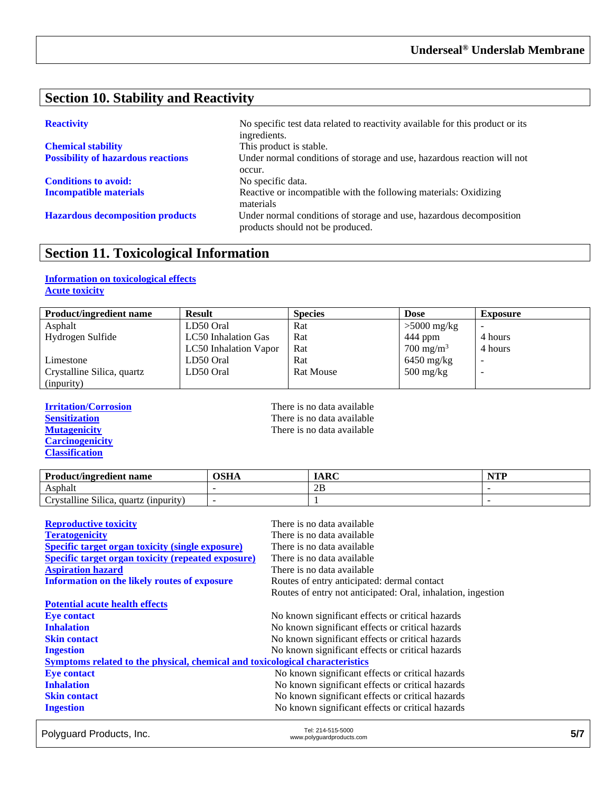### **Section 10. Stability and Reactivity**

| <b>Chemical stability</b>                 |
|-------------------------------------------|
| <b>Possibility of hazardous reactions</b> |

**Conditions to avoid:** No specific data.

**Reactivity** No specific test data related to reactivity available for this product or its ingredients. This product is stable. Under normal conditions of storage and use, hazardous reaction will not occur. **Incompatible materials** Reactive or incompatible with the following materials: Oxidizing materials **Hazardous decomposition products** Under normal conditions of storage and use, hazardous decomposition products should not be produced.

#### **Section 11. Toxicological Information**

#### **Information on toxicological effects Acute toxicity**

| <b>Product/ingredient name</b> | <b>Result</b>         | <b>Species</b>   | <b>Dose</b>                       | <b>Exposure</b> |
|--------------------------------|-----------------------|------------------|-----------------------------------|-----------------|
| Asphalt                        | LD50 Oral             | Rat              | $>5000$ mg/kg                     |                 |
| Hydrogen Sulfide               | LC50 Inhalation Gas   | Rat              | 444 ppm                           | 4 hours         |
|                                | LC50 Inhalation Vapor | Rat              | $700 \text{ mg/m}^3$              | 4 hours         |
| Limestone                      | LD50 Oral             | Rat              | $6450$ mg/kg                      |                 |
| Crystalline Silica, quartz     | LD50 Oral             | <b>Rat Mouse</b> | $500 \frac{\text{mg}}{\text{kg}}$ | -               |
| (inpurity)                     |                       |                  |                                   |                 |

**Carcinogenicity Classification**

**Irritation/Corrosion**<br> **IFREM** There is no data available<br> **IFREM** There is no data available<br> **IFREM** There is no data available **Sensitization**<br> **Sensitization**<br> **Mutagenicity**<br> **CO**<br> **CO**<br> **CO**<br> **CO**<br> **CO**<br> **CO**<br> **CO**<br> **CO**<br> **CO**<br> **CO**<br> **CO**<br> **CO**<br> **CO**<br> **CO**<br> **CO**<br> **CO**<br> **CO**<br> **CO**<br> **CO**<br> **CO**<br> **CO**<br> **CO**<br> **CO**<br> **CO**<br> **CO**<br> **CO**<br> **CO**<br> **CO**<br> **CO** There is no data available

| <b>Product/ingredient name</b>                                             | OSHA | <b>IARC</b> | $\blacksquare$ |
|----------------------------------------------------------------------------|------|-------------|----------------|
| Asphalt                                                                    |      | 2B          |                |
| $\sim \cdot \cdot \cdot$<br>11.<br>rvstalline Silica.<br>quartz (inpurity) |      |             |                |

| <b>Reproductive toxicity</b>                                                 | There is no data available                                   |
|------------------------------------------------------------------------------|--------------------------------------------------------------|
| <b>Teratogenicity</b>                                                        | There is no data available                                   |
| <b>Specific target organ toxicity (single exposure)</b>                      | There is no data available                                   |
| <b>Specific target organ toxicity (repeated exposure)</b>                    | There is no data available                                   |
| <b>Aspiration hazard</b>                                                     | There is no data available                                   |
| Information on the likely routes of exposure                                 | Routes of entry anticipated: dermal contact                  |
|                                                                              | Routes of entry not anticipated: Oral, inhalation, ingestion |
| <b>Potential acute health effects</b>                                        |                                                              |
| <b>Eye contact</b>                                                           | No known significant effects or critical hazards             |
| <b>Inhalation</b>                                                            | No known significant effects or critical hazards             |
| <b>Skin contact</b>                                                          | No known significant effects or critical hazards             |
| <b>Ingestion</b>                                                             | No known significant effects or critical hazards             |
| Symptoms related to the physical, chemical and toxicological characteristics |                                                              |
| <b>Eye contact</b>                                                           | No known significant effects or critical hazards             |
| <b>Inhalation</b>                                                            | No known significant effects or critical hazards             |
| <b>Skin contact</b>                                                          | No known significant effects or critical hazards             |
| <b>Ingestion</b>                                                             | No known significant effects or critical hazards             |

Polyguard Products, Inc. Tel: 214-515-5000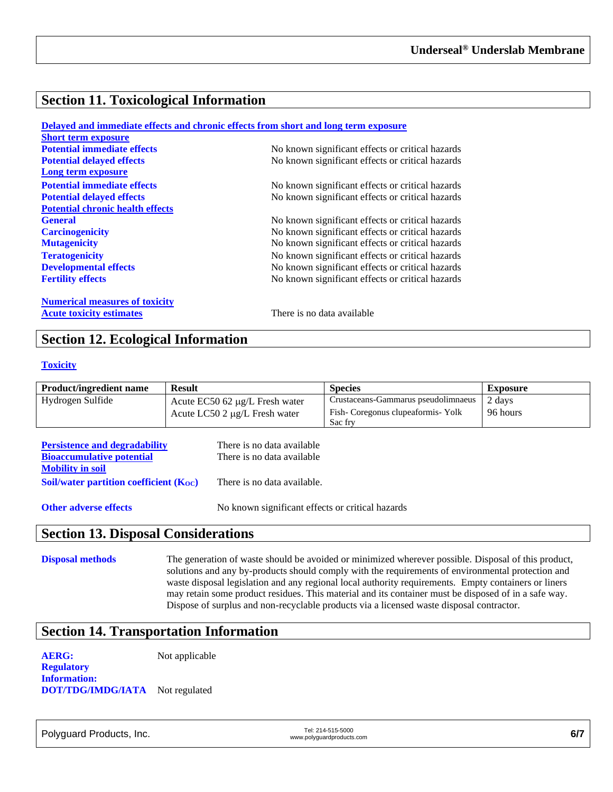### **Section 11. Toxicological Information**

|                                         | Delayed and immediate effects and chronic effects from short and long term exposure |
|-----------------------------------------|-------------------------------------------------------------------------------------|
| <b>Short term exposure</b>              |                                                                                     |
| <b>Potential immediate effects</b>      | No known significant effects or critical hazards                                    |
| <b>Potential delayed effects</b>        | No known significant effects or critical hazards                                    |
| Long term exposure                      |                                                                                     |
| <b>Potential immediate effects</b>      | No known significant effects or critical hazards                                    |
| <b>Potential delayed effects</b>        | No known significant effects or critical hazards                                    |
| <b>Potential chronic health effects</b> |                                                                                     |
| <b>General</b>                          | No known significant effects or critical hazards                                    |
| <b>Carcinogenicity</b>                  | No known significant effects or critical hazards                                    |
| <b>Mutagenicity</b>                     | No known significant effects or critical hazards                                    |
| <b>Teratogenicity</b>                   | No known significant effects or critical hazards                                    |
| <b>Developmental effects</b>            | No known significant effects or critical hazards                                    |
| <b>Fertility effects</b>                | No known significant effects or critical hazards                                    |
| <b>Numerical measures of toxicity</b>   |                                                                                     |
| <b>Acute toxicity estimates</b>         | There is no data available                                                          |

#### **Section 12. Ecological Information**

#### **Toxicity**

| <b>Product/ingredient name</b> | <b>Result</b>                         | <b>Species</b>                      | <b>Exposure</b> |
|--------------------------------|---------------------------------------|-------------------------------------|-----------------|
| Hydrogen Sulfide               | Acute $EC50$ 62 $\mu$ g/L Fresh water | Crustaceans-Gammarus pseudolimnaeus | 2 days          |
|                                | Acute LC50 2 µg/L Fresh water         | Fish-Coregonus clupeaformis-Yolk    | 96 hours        |
|                                |                                       | Sac fry                             |                 |

| <b>Persistence and degradability</b>        | There is no data available  |
|---------------------------------------------|-----------------------------|
| <b>Bioaccumulative potential</b>            | There is no data available  |
| <b>Mobility in soil</b>                     |                             |
| Soil/water partition coefficient $(K_{OC})$ | There is no data available. |
|                                             |                             |

**Other adverse effects** No known significant effects or critical hazards

#### **Section 13. Disposal Considerations**

**Disposal methods** The generation of waste should be avoided or minimized wherever possible. Disposal of this product, solutions and any by-products should comply with the requirements of environmental protection and waste disposal legislation and any regional local authority requirements. Empty containers or liners may retain some product residues. This material and its container must be disposed of in a safe way. Dispose of surplus and non-recyclable products via a licensed waste disposal contractor.

#### **Section 14. Transportation Information**

**AERG:** Not applicable

**Regulatory Information: DOT/TDG/IMDG/IATA** Not regulated

Polyguard Products, Inc. Tel: 214-515-5000